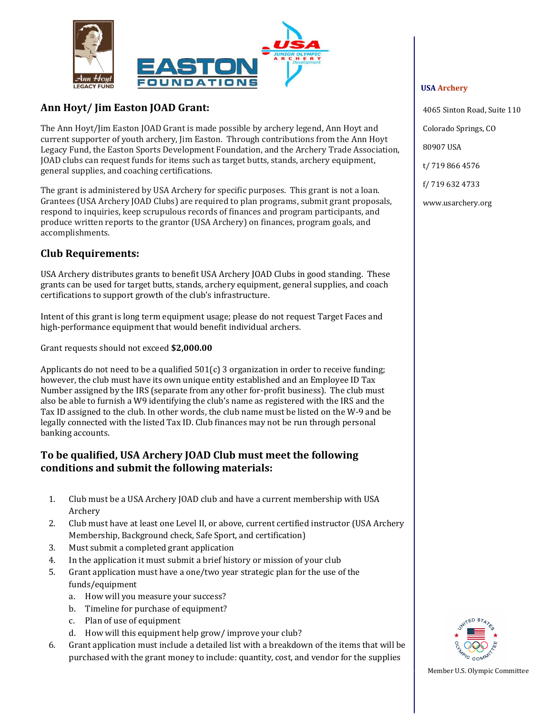

## **Ann Hoyt/ Jim Easton JOAD Grant:**

The Ann Hoyt/Jim Easton JOAD Grant is made possible by archery legend, Ann Hoyt and current supporter of youth archery, Jim Easton. Through contributions from the Ann Hoyt Legacy Fund, the Easton Sports Development Foundation, and the Archery Trade Association, JOAD clubs can request funds for items such as target butts, stands, archery equipment, general supplies, and coaching certifications.

The grant is administered by USA Archery for specific purposes. This grant is not a loan. Grantees (USA Archery JOAD Clubs) are required to plan programs, submit grant proposals, respond to inquiries, keep scrupulous records of finances and program participants, and produce written reports to the grantor (USA Archery) on finances, program goals, and accomplishments.

### **Club Requirements:**

USA Archery distributes grants to benefit USA Archery JOAD Clubs in good standing. These grants can be used for target butts, stands, archery equipment, general supplies, and coach certifications to support growth of the club's infrastructure.

Intent of this grant is long term equipment usage; please do not request Target Faces and high-performance equipment that would benefit individual archers.

Grant requests should not exceed **\$2,000.00**

Applicants do not need to be a qualified 501(c) 3 organization in order to receive funding; however, the club must have its own unique entity established and an Employee ID Tax Number assigned by the IRS (separate from any other for‐profit business). The club must also be able to furnish a W9 identifying the club's name as registered with the IRS and the Tax ID assigned to the club. In other words, the club name must be listed on the W‐9 and be legally connected with the listed Tax ID. Club finances may not be run through personal banking accounts.

#### **To be qualified, USA Archery JOAD Club must meet the following conditions and submit the following materials:**

- 1. Club must be a USA Archery JOAD club and have a current membership with USA Archery
- 2. Club must have at least one Level II, or above, current certified instructor (USA Archery Membership, Background check, Safe Sport, and certification)
- 3. Must submit a completed grant application
- 4. In the application it must submit a brief history or mission of your club
- 5. Grant application must have a one/two year strategic plan for the use of the funds/equipment
	- a. How will you measure your success?
	- b. Timeline for purchase of equipment?
	- c. Plan of use of equipment
	- d. How will this equipment help grow/ improve your club?
- 6. Grant application must include a detailed list with a breakdown of the items that will be purchased with the grant money to include: quantity, cost, and vendor for the supplies

#### **USA Archery**

4065 Sinton Road, Suite 110

Colorado Springs, CO

80907 USA

t/ 719 866 4576

f/ 719 632 4733

www.usarchery.org



Member U.S. Olympic Committee